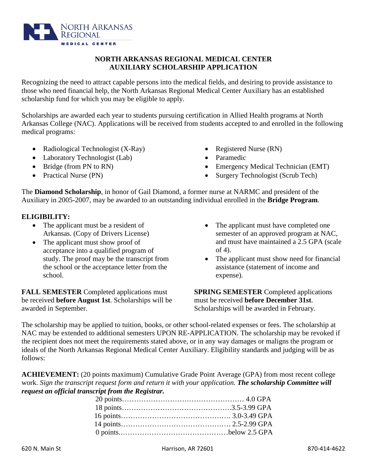**ACHIEVEMENT:** (20 points maximum) Cumulative Grade Point Average (GPA) from most recent college work. *Sign the transcript request form and return it with your application. The scholarship Committee will* 

> 20 points…………………………………………… 4.0 GPA 18 points……………………………………….3.5-3.99 GPA 16 points………………………………………. 3.0-3.49 GPA 14 points………………………………………. 2.5-2.99 GPA 0 points.………………………………………below 2.5 GPA

NAC may be extended to additional semesters UPON RE-APPLICATION. The scholarship may be revoked if the recipient does not meet the requirements stated above, or in any way damages or maligns the program or ideals of the North Arkansas Regional Medical Center Auxiliary. Eligibility standards and judging will be as follows:

The scholarship may be applied to tuition, books, or other school-related expenses or fees. The scholarship at

awarded in September. Scholarships will be awarded in February.

The **Diamond Scholarship**, in honor of Gail Diamond, a former nurse at NARMC and president of the Auxiliary in 2005-2007, may be awarded to an outstanding individual enrolled in the **Bridge Program**.

# **ELIGIBILITY:**

- The applicant must be a resident of Arkansas. (Copy of Drivers License)
- The applicant must show proof of acceptance into a qualified program of study. The proof may be the transcript from the school or the acceptance letter from the

school.

**FALL SEMESTER** Completed applications must be received **before August 1st**. Scholarships will be

*request an official transcript from the Registrar.* 

- The applicant must have completed one semester of an approved program at NAC, and must have maintained a 2.5 GPA (scale of 4).
- The applicant must show need for financial assistance (statement of income and expense).

**SPRING SEMESTER** Completed applications must be received **before December 31st**.

those who need financial help, the North Arkansas Regional Medical Center Auxiliary has an established scholarship fund for which you may be eligible to apply. Scholarships are awarded each year to students pursuing certification in Allied Health programs at North

Recognizing the need to attract capable persons into the medical fields, and desiring to provide assistance to

**NORTH ARKANSAS REGIONAL MEDICAL CENTER AUXILIARY SCHOLARSHIP APPLICATION**

Arkansas College (NAC). Applications will be received from students accepted to and enrolled in the following medical programs:

- Radiological Technologist (X-Ray)
- Laboratory Technologist (Lab)
- 
- Bridge (from PN to RN)
- Practical Nurse (PN)
- Registered Nurse (RN)
- Paramedic
- Emergency Medical Technician (EMT)
- Surgery Technologist (Scrub Tech)

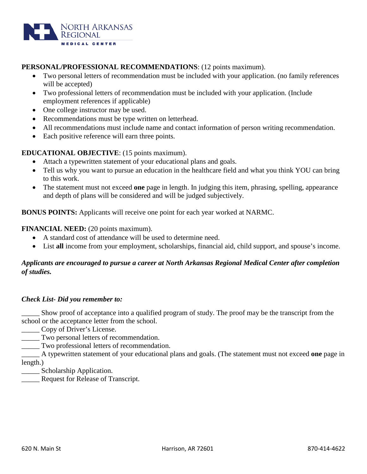

## **PERSONAL/PROFESSIONAL RECOMMENDATIONS**: (12 points maximum).

- Two personal letters of recommendation must be included with your application. (no family references will be accepted)
- Two professional letters of recommendation must be included with your application. (Include employment references if applicable)
- One college instructor may be used.
- Recommendations must be type written on letterhead.
- All recommendations must include name and contact information of person writing recommendation.
- Each positive reference will earn three points.

## **EDUCATIONAL OBJECTIVE**: (15 points maximum).

- Attach a typewritten statement of your educational plans and goals.
- Tell us why you want to pursue an education in the healthcare field and what you think YOU can bring to this work.
- The statement must not exceed **one** page in length. In judging this item, phrasing, spelling, appearance and depth of plans will be considered and will be judged subjectively.

**BONUS POINTS:** Applicants will receive one point for each year worked at NARMC.

## **FINANCIAL NEED:** (20 points maximum).

- A standard cost of attendance will be used to determine need.
- List **all** income from your employment, scholarships, financial aid, child support, and spouse's income.

## *Applicants are encouraged to pursue a career at North Arkansas Regional Medical Center after completion of studies.*

### *Check List- Did you remember to:*

Show proof of acceptance into a qualified program of study. The proof may be the transcript from the school or the acceptance letter from the school.

- Copy of Driver's License.
- \_\_\_\_\_ Two personal letters of recommendation.
- \_\_\_\_\_ Two professional letters of recommendation.

\_\_\_\_\_ A typewritten statement of your educational plans and goals. (The statement must not exceed **one** page in length.)

**\_\_\_\_\_** Scholarship Application.

\_\_\_\_\_ Request for Release of Transcript.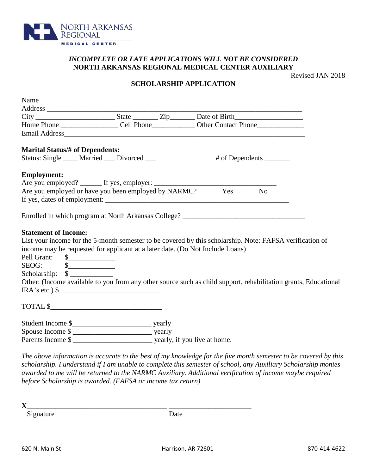

## *INCOMPLETE OR LATE APPLICATIONS WILL NOT BE CONSIDERED* **NORTH ARKANSAS REGIONAL MEDICAL CENTER AUXILIARY**

Revised JAN 2018

### **SCHOLARSHIP APPLICATION**

| <b>Marital Status/# of Dependents:</b>                                                                                                                                                       |  |  |                                                                                                                                                                                                                             |  |
|----------------------------------------------------------------------------------------------------------------------------------------------------------------------------------------------|--|--|-----------------------------------------------------------------------------------------------------------------------------------------------------------------------------------------------------------------------------|--|
| Status: Single ____ Married ___ Divorced ___                                                                                                                                                 |  |  | # of Dependents ________                                                                                                                                                                                                    |  |
| <b>Employment:</b>                                                                                                                                                                           |  |  |                                                                                                                                                                                                                             |  |
|                                                                                                                                                                                              |  |  |                                                                                                                                                                                                                             |  |
|                                                                                                                                                                                              |  |  |                                                                                                                                                                                                                             |  |
|                                                                                                                                                                                              |  |  |                                                                                                                                                                                                                             |  |
| <b>Statement of Income:</b><br>income may be requested for applicant at a later date. (Do Not Include Loans)<br>Pell Grant: \$<br>$SEOG:$ $\qquad \qquad \$\_$<br>Scholarship: $\frac{1}{2}$ |  |  | List your income for the 5-month semester to be covered by this scholarship. Note: FAFSA verification of<br>Other: (Income available to you from any other source such as child support, rehabilitation grants, Educational |  |
| $IRA's etc.)$ \$                                                                                                                                                                             |  |  |                                                                                                                                                                                                                             |  |
| TOTAL \$                                                                                                                                                                                     |  |  |                                                                                                                                                                                                                             |  |
|                                                                                                                                                                                              |  |  |                                                                                                                                                                                                                             |  |
|                                                                                                                                                                                              |  |  |                                                                                                                                                                                                                             |  |
| Parents Income \$                                                                                                                                                                            |  |  |                                                                                                                                                                                                                             |  |
|                                                                                                                                                                                              |  |  | The ghove information is accurate to the hest of my knowledge for the five month semester to be covered by thi                                                                                                              |  |

*The above information is accurate to the best of my knowledge for the five month semester to be covered by this scholarship. I understand if I am unable to complete this semester of school, any Auxiliary Scholarship monies awarded to me will be returned to the NARMC Auxiliary. Additional verification of income maybe required before Scholarship is awarded. (FAFSA or income tax return)* 

**X**\_\_\_\_\_\_\_\_\_\_\_\_\_\_\_\_\_\_\_\_\_\_\_\_\_\_\_\_\_\_\_\_\_\_\_\_\_\_\_ \_\_\_\_\_\_\_\_\_\_\_\_\_\_\_\_\_\_\_\_\_\_\_ Signature